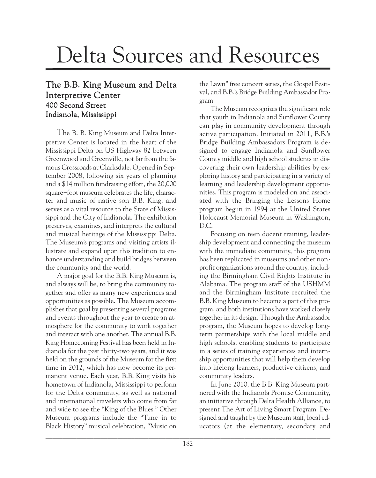## Delta Sources and Resources

## The B.B. King Museum and Delta Interpretive Center 400 Second Street Indianola, Mississippi

The B. B. King Museum and Delta Interpretive Center is located in the heart of the Mississippi Delta on US Highway 82 between Greenwood and Greenville, not far from the famous Crossroads at Clarksdale. Opened in September 2008, following six years of planning and a \$14 million fundraising effort, the 20,000 square-foot museum celebrates the life, character and music of native son B.B. King, and serves as a vital resource to the State of Mississippi and the City of Indianola. The exhibition preserves, examines, and interprets the cultural and musical heritage of the Mississippi Delta. The Museum's programs and visiting artists illustrate and expand upon this tradition to enhance understanding and build bridges between the community and the world.

A major goal for the B.B. King Museum is, and always will be, to bring the community together and offer as many new experiences and opportunities as possible. The Museum accomplishes that goal by presenting several programs and events throughout the year to create an atmosphere for the community to work together and interact with one another. The annual B.B. King Homecoming Festival has been held in Indianola for the past thirty-two years, and it was held on the grounds of the Museum for the first time in 2012, which has now become its permanent venue. Each year, B.B. King visits his hometown of Indianola, Mississippi to perform for the Delta community, as well as national and international travelers who come from far and wide to see the "King of the Blues." Other Museum programs include the "Tune in to Black History" musical celebration, "Music on the Lawn" free concert series, the Gospel Festival, and B.B.'s Bridge Building Ambassador Program.

The Museum recognizes the significant role that youth in Indianola and Sunflower County can play in community development through active participation. Initiated in 2011, B.B.'s Bridge Building Ambassadors Program is designed to engage Indianola and Sunflower County middle and high school students in discovering their own leadership abilities by exploring history and participating in a variety of learning and leadership development opportunities. This program is modeled on and associated with the Bringing the Lessons Home program begun in 1994 at the United States Holocaust Memorial Museum in Washington, D.C.

Focusing on teen docent training, leadership development and connecting the museum with the immediate community, this program has been replicated in museums and other nonprofit organizations around the country, including the Birmingham Civil Rights Institute in Alabama. The program staff of the USHMM and the Birmingham Institute recruited the B.B. King Museum to become a part of this program, and both institutions have worked closely together in its design. Through the Ambassador program, the Museum hopes to develop longterm partnerships with the local middle and high schools, enabling students to participate in a series of training experiences and internship opportunities that will help them develop into lifelong learners, productive citizens, and community leaders.

In June 2010, the B.B. King Museum partnered with the Indianola Promise Community, an initiative through Delta Health Alliance, to present The Art of Living Smart Program. Designed and taught by the Museum staff, local educators (at the elementary, secondary and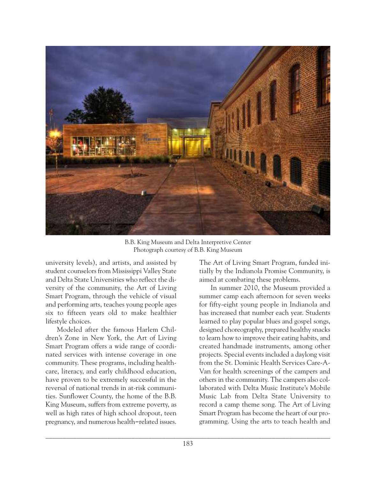

B.B. King Museum and Delta Interpretive Center Photograph courtesy of B.B. King Museum

university levels), and artists, and assisted by student counselors from Mississippi Valley State and Delta State Universities who reflect the diversity of the community, the Art of Living Smart Program, through the vehicle of visual and performing arts, teaches young people ages six to fifteen years old to make healthier lifestyle choices.

Modeled after the famous Harlem Children's Zone in New York, the Art of Living Smart Program offers a wide range of coordinated services with intense coverage in one community. These programs, including healthcare, literacy, and early childhood education, have proven to be extremely successful in the reversal of national trends in at-risk communities. Sunflower County, the home of the B.B. King Museum, suffers from extreme poverty, as well as high rates of high school dropout, teen pregnancy, and numerous health-related issues. The Art of Living Smart Program, funded initially by the Indianola Promise Community, is aimed at combating these problems.

In summer 2010, the Museum provided a summer camp each afternoon for seven weeks for fifty-eight young people in Indianola and has increased that number each year. Students learned to play popular blues and gospel songs, designed choreography, prepared healthy snacks to learn how to improve their eating habits, and created handmade instruments, among other projects. Special events included a daylong visit from the St. Dominic Health Services Care-A-Van for health screenings of the campers and others in the community. The campers also collaborated with Delta Music Institute's Mobile Music Lab from Delta State University to record a camp theme song. The Art of Living Smart Program has become the heart of our programming. Using the arts to teach health and